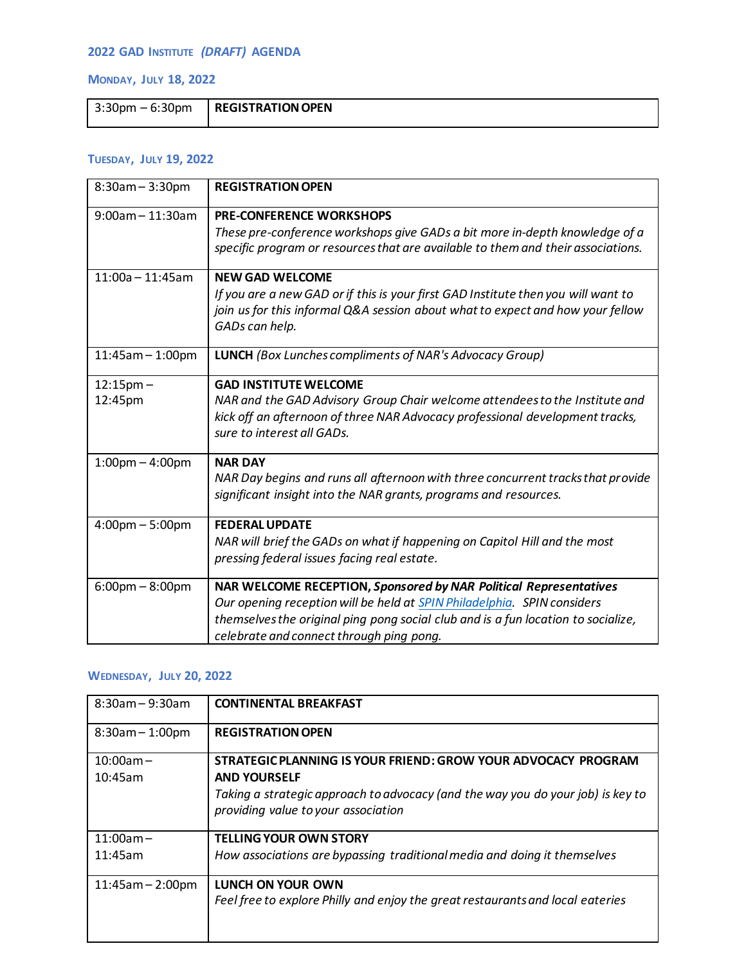## **2022 GAD INSTITUTE** *(DRAFT)* **AGENDA**

#### **MONDAY, JULY 18, 2022**

| $3:30 \text{pm} - 6:30 \text{pm}$ | <b>REGISTRATION OPEN</b> |
|-----------------------------------|--------------------------|
|                                   |                          |

### **TUESDAY, JULY 19, 2022**

| 8:30am - 3:30pm                   | <b>REGISTRATION OPEN</b>                                                                                                                                                                                                                                                      |
|-----------------------------------|-------------------------------------------------------------------------------------------------------------------------------------------------------------------------------------------------------------------------------------------------------------------------------|
| $9:00$ am - 11:30am               | <b>PRE-CONFERENCE WORKSHOPS</b><br>These pre-conference workshops give GADs a bit more in-depth knowledge of a<br>specific program or resources that are available to them and their associations.                                                                            |
| $11:00a - 11:45am$                | <b>NEW GAD WELCOME</b><br>If you are a new GAD or if this is your first GAD Institute then you will want to<br>join us for this informal Q&A session about what to expect and how your fellow<br>GADs can help.                                                               |
| 11:45am - 1:00pm                  | <b>LUNCH</b> (Box Lunches compliments of NAR's Advocacy Group)                                                                                                                                                                                                                |
| $12:15$ pm $-$<br>12:45pm         | <b>GAD INSTITUTE WELCOME</b><br>NAR and the GAD Advisory Group Chair welcome attendees to the Institute and<br>kick off an afternoon of three NAR Advocacy professional development tracks,<br>sure to interest all GADs.                                                     |
| $1:00$ pm $-4:00$ pm              | <b>NAR DAY</b><br>NAR Day begins and runs all afternoon with three concurrent tracks that provide<br>significant insight into the NAR grants, programs and resources.                                                                                                         |
| $4:00 \text{pm} - 5:00 \text{pm}$ | <b>FEDERAL UPDATE</b><br>NAR will brief the GADs on what if happening on Capitol Hill and the most<br>pressing federal issues facing real estate.                                                                                                                             |
| $6:00 \text{pm} - 8:00 \text{pm}$ | NAR WELCOME RECEPTION, Sponsored by NAR Political Representatives<br>Our opening reception will be held at SPIN Philadelphia. SPIN considers<br>themselves the original ping pong social club and is a fun location to socialize,<br>celebrate and connect through ping pong. |

# **WEDNESDAY, JULY 20, 2022**

| $8:30$ am - 9:30am     | <b>CONTINENTAL BREAKFAST</b>                                                                                                                                                                                   |
|------------------------|----------------------------------------------------------------------------------------------------------------------------------------------------------------------------------------------------------------|
| $8:30am - 1:00pm$      | <b>REGISTRATION OPEN</b>                                                                                                                                                                                       |
| $10:00am -$<br>10:45am | STRATEGIC PLANNING IS YOUR FRIEND: GROW YOUR ADVOCACY PROGRAM<br><b>AND YOURSELF</b><br>Taking a strategic approach to advocacy (and the way you do your job) is key to<br>providing value to your association |
| $11:00am -$<br>11:45am | <b>TELLING YOUR OWN STORY</b><br>How associations are bypassing traditional media and doing it themselves                                                                                                      |
| $11:45am - 2:00pm$     | LUNCH ON YOUR OWN<br>Feel free to explore Philly and enjoy the great restaurants and local eateries                                                                                                            |